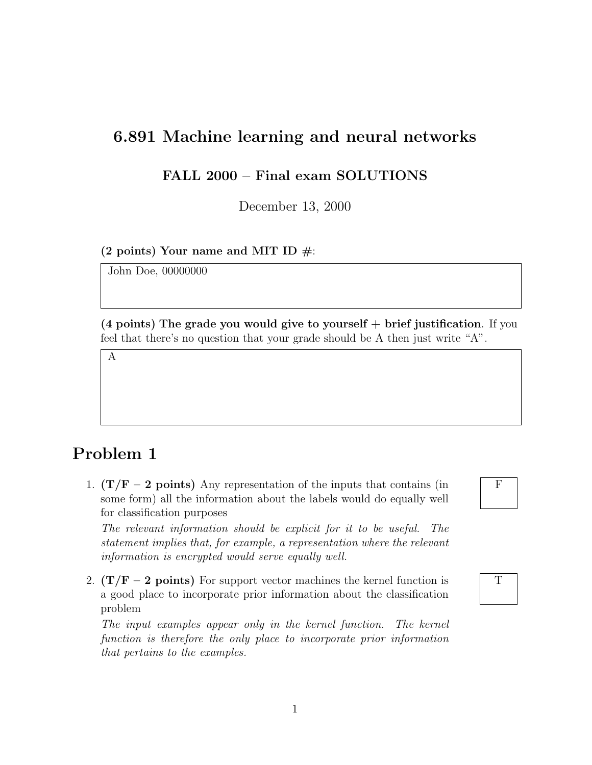#### 6.891 Machine learning and neural networks

#### FALL 2000 – Final exam SOLUTIONS

December 13, 2000

(2 points) Your name and MIT ID  $\#$ :

John Doe, 00000000

 $(4 \text{ points})$  The grade you would give to yourself  $+$  brief justification. If you feel that there's no question that your grade should be A then just write "A".

A

# Problem 1

1.  $(T/F - 2$  points) Any representation of the inputs that contains (in some form) all the information about the labels would do equally well for classification purposes

The relevant information should be explicit for it to be useful. The statement implies that, for example, a representation where the relevant information is encrypted would serve equally well.

2.  $(T/F - 2$  points) For support vector machines the kernel function is a good place to incorporate prior information about the classification problem

The input examples appear only in the kernel function. The kernel function is therefore the only place to incorporate prior information that pertains to the examples.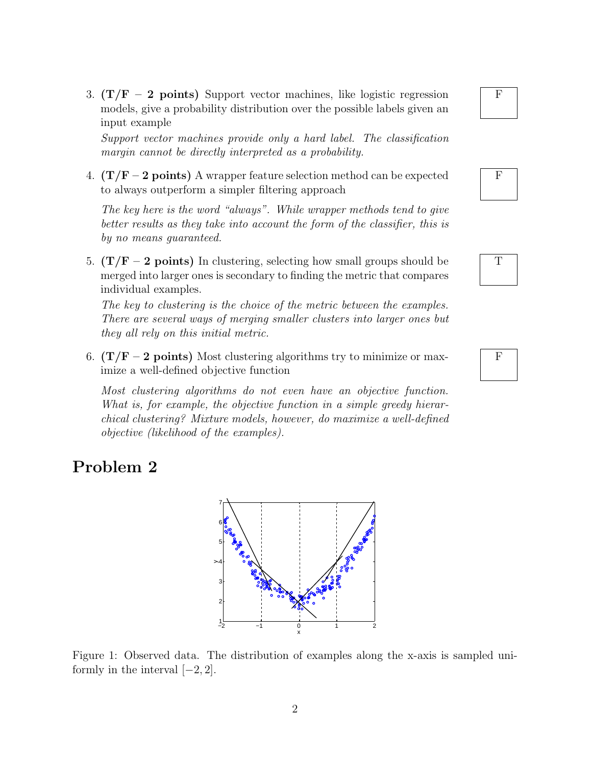3.  $(T/F - 2$  points) Support vector machines, like logistic regression models, give a probability distribution over the possible labels given an input example

Support vector machines provide only a hard label. The classification margin cannot be directly interpreted as a probability.

4.  $(T/F - 2 points)$  A wrapper feature selection method can be expected to always outperform a simpler filtering approach

The key here is the word "always". While wrapper methods tend to give better results as they take into account the form of the classifier, this is by no means guaranteed.

5.  $(T/F - 2 \text{ points})$  In clustering, selecting how small groups should be merged into larger ones is secondary to finding the metric that compares individual examples.

The key to clustering is the choice of the metric between the examples. There are several ways of merging smaller clusters into larger ones but they all rely on this initial metric.

6.  $(T/F - 2 points)$  Most clustering algorithms try to minimize or maximize a well-defined objective function

Most clustering algorithms do not even have an objective function. What is, for example, the objective function in a simple greedy hierarchical clustering? Mixture models, however, do maximize a well-defined objective (likelihood of the examples).

## Problem 2





F



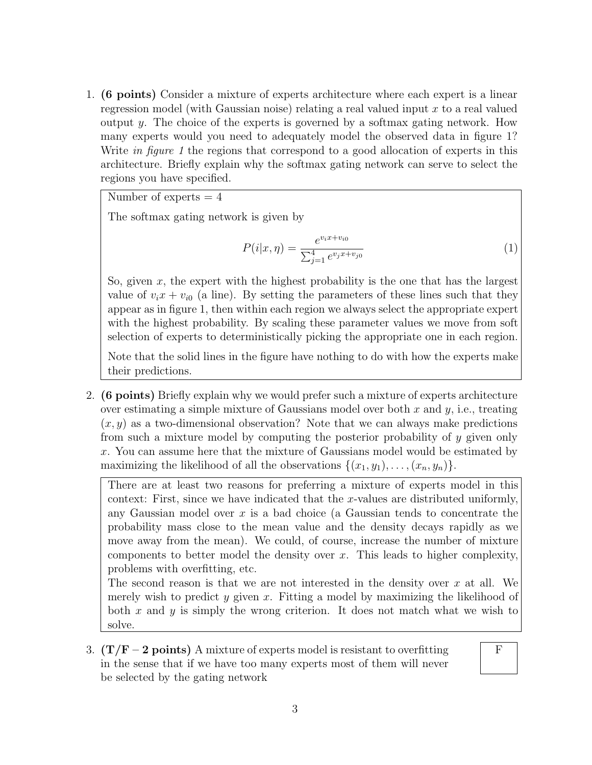1. (6 points) Consider a mixture of experts architecture where each expert is a linear regression model (with Gaussian noise) relating a real valued input x to a real valued output y. The choice of the experts is governed by a softmax gating network. How many experts would you need to adequately model the observed data in figure 1? Write in figure 1 the regions that correspond to a good allocation of experts in this architecture. Briefly explain why the softmax gating network can serve to select the regions you have specified.

Number of experts  $= 4$ 

The softmax gating network is given by

$$
P(i|x,\eta) = \frac{e^{v_i x + v_{i0}}}{\sum_{j=1}^{4} e^{v_j x + v_{j0}}}
$$
\n(1)

So, given  $x$ , the expert with the highest probability is the one that has the largest value of  $v_i x + v_{i0}$  (a line). By setting the parameters of these lines such that they appear as in figure 1, then within each region we always select the appropriate expert with the highest probability. By scaling these parameter values we move from soft selection of experts to deterministically picking the appropriate one in each region.

Note that the solid lines in the figure have nothing to do with how the experts make their predictions.

2. (6 points) Briefly explain why we would prefer such a mixture of experts architecture over estimating a simple mixture of Gaussians model over both  $x$  and  $y$ , i.e., treating  $(x, y)$  as a two-dimensional observation? Note that we can always make predictions from such a mixture model by computing the posterior probability of  $y$  given only x. You can assume here that the mixture of Gaussians model would be estimated by maximizing the likelihood of all the observations  $\{(x_1, y_1), \ldots, (x_n, y_n)\}.$ 

There are at least two reasons for preferring a mixture of experts model in this context: First, since we have indicated that the x-values are distributed uniformly, any Gaussian model over  $x$  is a bad choice (a Gaussian tends to concentrate the probability mass close to the mean value and the density decays rapidly as we move away from the mean). We could, of course, increase the number of mixture components to better model the density over  $x$ . This leads to higher complexity, problems with overfitting, etc.

The second reason is that we are not interested in the density over  $x$  at all. We merely wish to predict y given x. Fitting a model by maximizing the likelihood of both x and y is simply the wrong criterion. It does not match what we wish to solve.

3.  $(T/F - 2 points)$  A mixture of experts model is resistant to overfitting in the sense that if we have too many experts most of them will never be selected by the gating network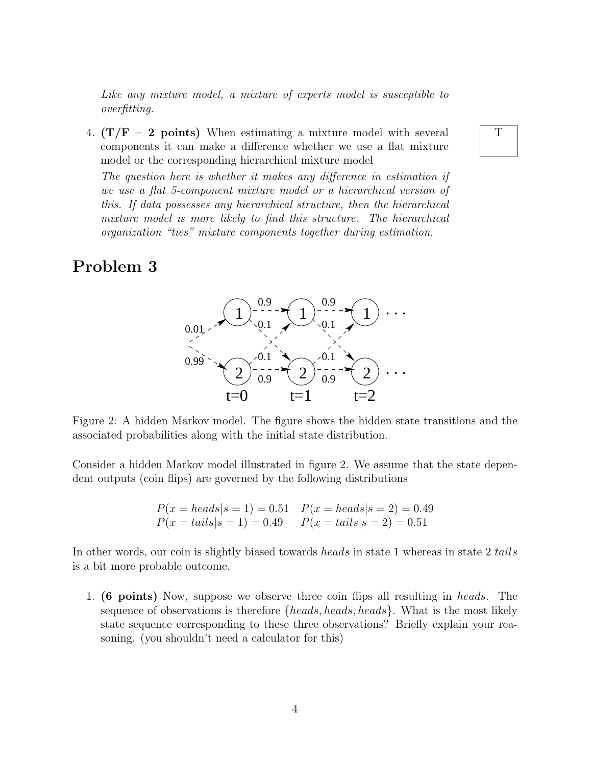Like any mixture model, a mixture of experts model is susceptible to overfitting.

4.  $(T/F - 2$  points) When estimating a mixture model with several components it can make a difference whether we use a flat mixture model or the corresponding hierarchical mixture model

The question here is whether it makes any difference in estimation if we use a flat 5-component mixture model or a hierarchical version of this. If data possesses any hierarchical structure, then the hierarchical mixture model is more likely to find this structure. The hierarchical organization "ties" mixture components together during estimation.

#### Problem 3



Figure 2: A hidden Markov model. The figure shows the hidden state transitions and the associated probabilities along with the initial state distribution.

Consider a hidden Markov model illustrated in figure 2. We assume that the state dependent outputs (coin flips) are governed by the following distributions

$$
P(x = heads | s = 1) = 0.51
$$
  

$$
P(x = tails | s = 1) = 0.49
$$
  

$$
P(x = tails | s = 1) = 0.49
$$
  

$$
P(x = tails | s = 2) = 0.51
$$

In other words, our coin is slightly biased towards heads in state 1 whereas in state 2 tails is a bit more probable outcome.

1. (6 points) Now, suppose we observe three coin flips all resulting in heads. The sequence of observations is therefore  ${heads, heads, heads}$ . What is the most likely state sequence corresponding to these three observations? Briefly explain your reasoning. (you shouldn't need a calculator for this)

T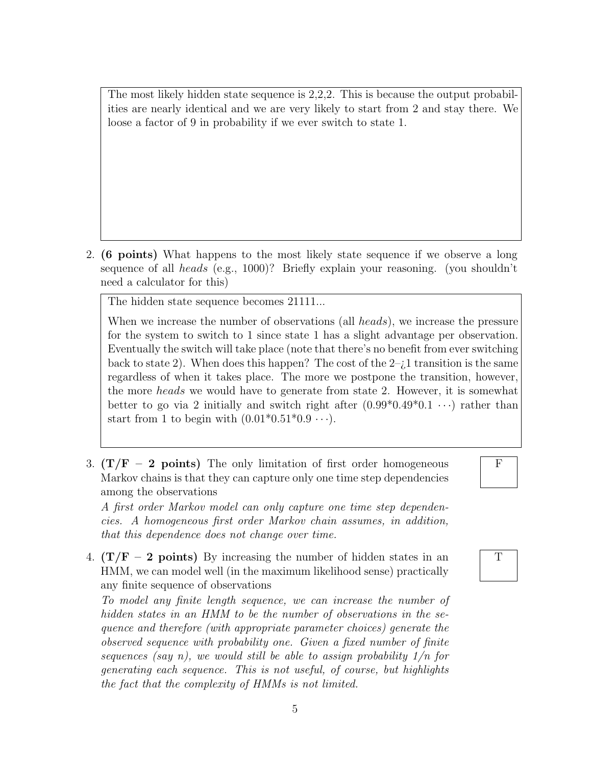The most likely hidden state sequence is 2,2,2. This is because the output probabilities are nearly identical and we are very likely to start from 2 and stay there. We loose a factor of 9 in probability if we ever switch to state 1.

2. (6 points) What happens to the most likely state sequence if we observe a long sequence of all *heads* (e.g., 1000)? Briefly explain your reasoning. (you shouldn't need a calculator for this)

The hidden state sequence becomes 21111...

When we increase the number of observations (all heads), we increase the pressure for the system to switch to 1 since state 1 has a slight advantage per observation. Eventually the switch will take place (note that there's no benefit from ever switching back to state 2). When does this happen? The cost of the  $2-j$  transition is the same regardless of when it takes place. The more we postpone the transition, however, the more heads we would have to generate from state 2. However, it is somewhat better to go via 2 initially and switch right after  $(0.99^*0.49^*0.1 \cdots)$  rather than start from 1 to begin with  $(0.01^*0.51^*0.9 \cdots)$ .

3.  $(T/F - 2 points)$  The only limitation of first order homogeneous Markov chains is that they can capture only one time step dependencies among the observations

A first order Markov model can only capture one time step dependencies. A homogeneous first order Markov chain assumes, in addition, that this dependence does not change over time.

4.  $(T/F - 2 points)$  By increasing the number of hidden states in an HMM, we can model well (in the maximum likelihood sense) practically any finite sequence of observations

To model any finite length sequence, we can increase the number of hidden states in an HMM to be the number of observations in the sequence and therefore (with appropriate parameter choices) generate the observed sequence with probability one. Given a fixed number of finite sequences (say n), we would still be able to assign probability  $1/n$  for generating each sequence. This is not useful, of course, but highlights the fact that the complexity of HMMs is not limited.

T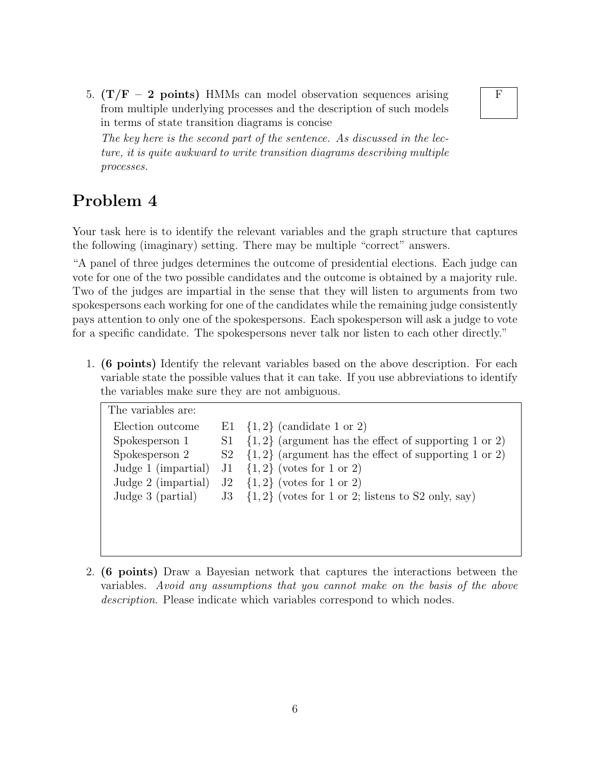5.  $(T/F - 2 points)$  HMMs can model observation sequences arising from multiple underlying processes and the description of such models in terms of state transition diagrams is concise

The key here is the second part of the sentence. As discussed in the lecture, it is quite awkward to write transition diagrams describing multiple processes.

## Problem 4

Your task here is to identify the relevant variables and the graph structure that captures the following (imaginary) setting. There may be multiple "correct" answers.

"A panel of three judges determines the outcome of presidential elections. Each judge can vote for one of the two possible candidates and the outcome is obtained by a majority rule. Two of the judges are impartial in the sense that they will listen to arguments from two spokespersons each working for one of the candidates while the remaining judge consistently pays attention to only one of the spokespersons. Each spokesperson will ask a judge to vote for a specific candidate. The spokespersons never talk nor listen to each other directly."

1. (6 points) Identify the relevant variables based on the above description. For each variable state the possible values that it can take. If you use abbreviations to identify the variables make sure they are not ambiguous.

| The variables are:  |                                                                          |
|---------------------|--------------------------------------------------------------------------|
| Election outcome    | E1 $\{1,2\}$ (candidate 1 or 2)                                          |
| Spokesperson 1      | $S1 \{1,2\}$ (argument has the effect of supporting 1 or 2)              |
| Spokesperson 2      | $S_2$ {1, 2} (argument has the effect of supporting 1 or 2)              |
| Judge 1 (impartial) | $J1 \{1,2\}$ (votes for 1 or 2)                                          |
| Judge 2 (impartial) | $J2 \{1,2\}$ (votes for 1 or 2)                                          |
|                     | Judge 3 (partial) $3\{1,2\}$ (votes for 1 or 2; listens to S2 only, say) |
|                     |                                                                          |
|                     |                                                                          |
|                     |                                                                          |

2. (6 points) Draw a Bayesian network that captures the interactions between the variables. Avoid any assumptions that you cannot make on the basis of the above description. Please indicate which variables correspond to which nodes.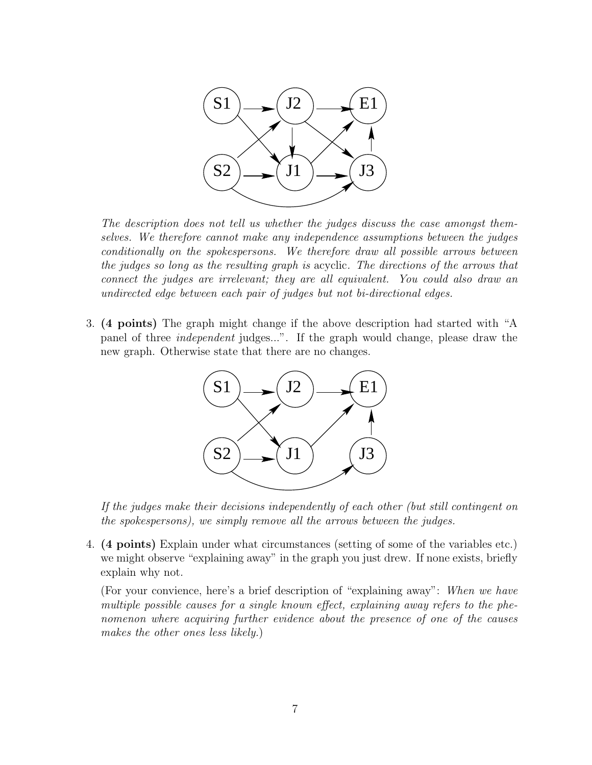

The description does not tell us whether the judges discuss the case amongst themselves. We therefore cannot make any independence assumptions between the judges conditionally on the spokespersons. We therefore draw all possible arrows between the judges so long as the resulting graph is acyclic. The directions of the arrows that connect the judges are irrelevant; they are all equivalent. You could also draw an undirected edge between each pair of judges but not bi-directional edges.

3. (4 points) The graph might change if the above description had started with "A panel of three independent judges...". If the graph would change, please draw the new graph. Otherwise state that there are no changes.



If the judges make their decisions independently of each other (but still contingent on the spokespersons), we simply remove all the arrows between the judges.

4. (4 points) Explain under what circumstances (setting of some of the variables etc.) we might observe "explaining away" in the graph you just drew. If none exists, briefly explain why not.

(For your convience, here's a brief description of "explaining away": When we have multiple possible causes for a single known effect, explaining away refers to the phenomenon where acquiring further evidence about the presence of one of the causes makes the other ones less likely.)